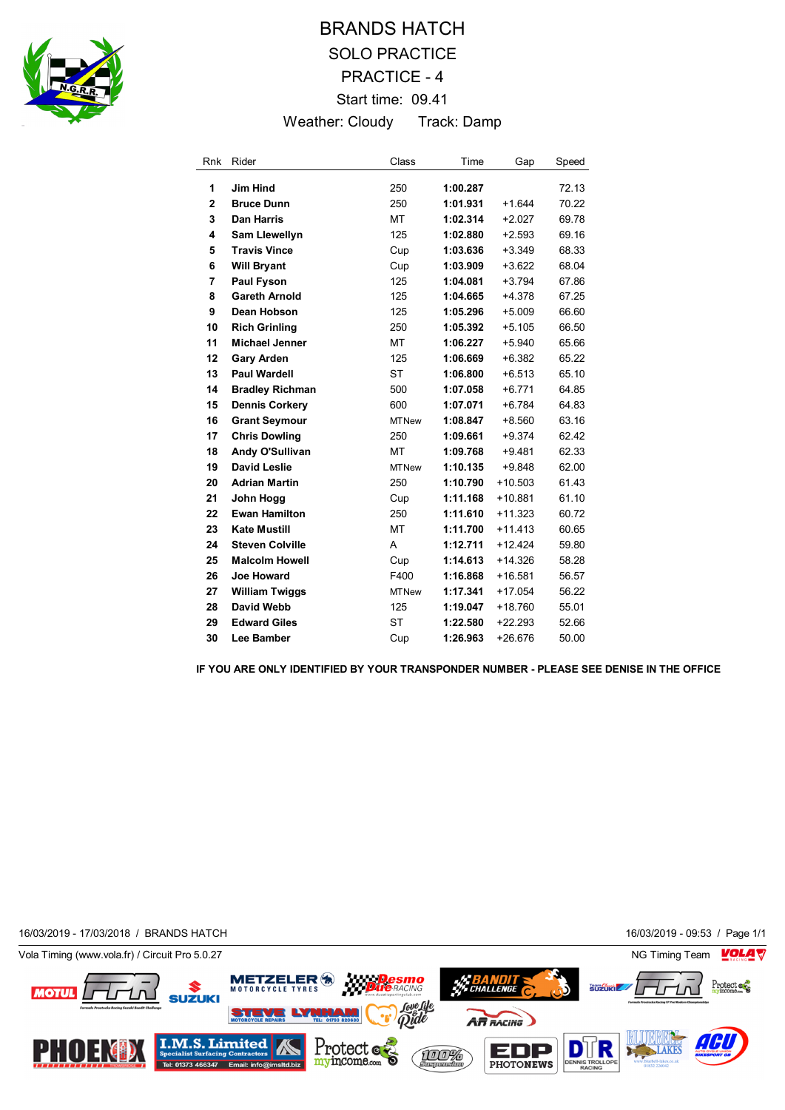

## BRANDS HATCH SOLO PRACTICE PRACTICE - 4 Start time: 09.41 Weather: Cloudy Track: Damp

| <b>Rnk</b>     | Rider                  | Class        | Time     | Gap       | Speed |
|----------------|------------------------|--------------|----------|-----------|-------|
| 1              | <b>Jim Hind</b>        | 250          | 1:00.287 |           | 72.13 |
| $\overline{2}$ | <b>Bruce Dunn</b>      | 250          | 1:01.931 | $+1.644$  | 70.22 |
| 3              | <b>Dan Harris</b>      | MT           | 1:02.314 | $+2.027$  | 69.78 |
| 4              | <b>Sam Llewellyn</b>   | 125          | 1:02.880 | $+2.593$  | 69.16 |
| 5              | <b>Travis Vince</b>    | Cup          | 1:03.636 | $+3.349$  | 68.33 |
| 6              | <b>Will Bryant</b>     | Cup          | 1:03.909 | $+3.622$  | 68.04 |
| 7              | Paul Fyson             | 125          | 1:04.081 | $+3.794$  | 67.86 |
| 8              | <b>Gareth Arnold</b>   | 125          | 1:04.665 | $+4.378$  | 67.25 |
| 9              | Dean Hobson            | 125          | 1:05.296 | $+5.009$  | 66.60 |
| 10             | <b>Rich Grinling</b>   | 250          | 1:05.392 | $+5.105$  | 66.50 |
| 11             | <b>Michael Jenner</b>  | <b>MT</b>    | 1:06.227 | $+5.940$  | 65.66 |
| 12             | <b>Gary Arden</b>      | 125          | 1:06.669 | $+6.382$  | 65.22 |
| 13             | <b>Paul Wardell</b>    | <b>ST</b>    | 1:06.800 | $+6.513$  | 65.10 |
| 14             | <b>Bradley Richman</b> | 500          | 1:07.058 | $+6.771$  | 64.85 |
| 15             | <b>Dennis Corkery</b>  | 600          | 1:07.071 | $+6.784$  | 64.83 |
| 16             | <b>Grant Seymour</b>   | <b>MTNew</b> | 1:08.847 | $+8.560$  | 63.16 |
| 17             | <b>Chris Dowling</b>   | 250          | 1:09.661 | $+9.374$  | 62.42 |
| 18             | Andy O'Sullivan        | MT           | 1:09.768 | $+9.481$  | 62.33 |
| 19             | <b>David Leslie</b>    | <b>MTNew</b> | 1:10.135 | $+9.848$  | 62.00 |
| 20             | <b>Adrian Martin</b>   | 250          | 1:10.790 | $+10.503$ | 61.43 |
| 21             | John Hogg              | Cup          | 1:11.168 | $+10.881$ | 61.10 |
| 22             | <b>Ewan Hamilton</b>   | 250          | 1:11.610 | $+11.323$ | 60.72 |
| 23             | <b>Kate Mustill</b>    | MT           | 1:11.700 | $+11.413$ | 60.65 |
| 24             | <b>Steven Colville</b> | A            | 1:12.711 | $+12.424$ | 59.80 |
| 25             | <b>Malcolm Howell</b>  | Cup          | 1:14.613 | $+14.326$ | 58.28 |
| 26             | Joe Howard             | F400         | 1:16.868 | $+16.581$ | 56.57 |
| 27             | <b>William Twiggs</b>  | <b>MTNew</b> | 1:17.341 | $+17.054$ | 56.22 |
| 28             | David Webb             | 125          | 1:19.047 | $+18.760$ | 55.01 |
| 29             | <b>Edward Giles</b>    | <b>ST</b>    | 1:22.580 | $+22.293$ | 52.66 |
| 30             | Lee Bamber             | Cup          | 1:26.963 | $+26.676$ | 50.00 |

**IF YOU ARE ONLY IDENTIFIED BY YOUR TRANSPONDER NUMBER - PLEASE SEE DENISE IN THE OFFICE**

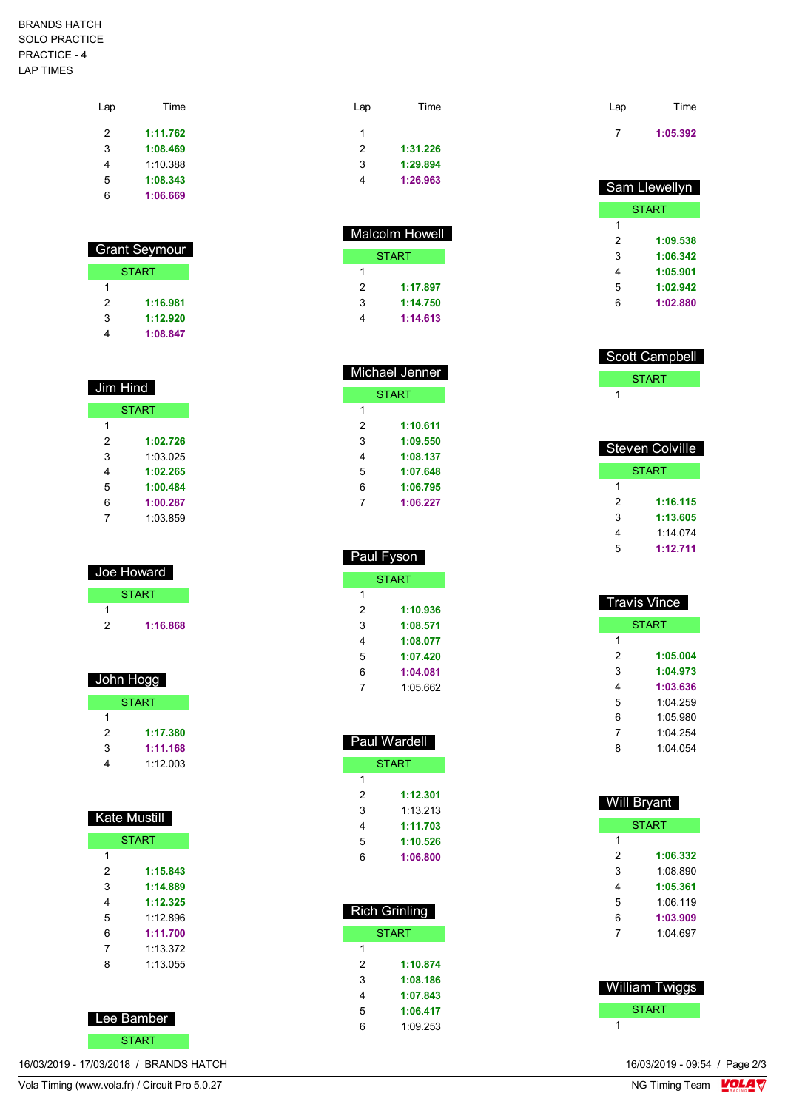## BRANDS HATCH SOLO PRACTICE PRACTICE - 4 LAP TIMES

| Lap | Time     |
|-----|----------|
| 2   | 1:11.762 |
| 3   | 1:08.469 |
| 4   | 1:10.388 |
| 5   | 1:08.343 |
| հ   | 1:06.669 |
|     |          |

| Grant Seymour |          |  |
|---------------|----------|--|
| <b>START</b>  |          |  |
| 1             |          |  |
| 2             | 1:16.981 |  |
| 3             | 1:12.920 |  |
|               | 1:08.847 |  |

| Jim Hind     |          |  |  |
|--------------|----------|--|--|
| <b>START</b> |          |  |  |
| 1            |          |  |  |
| 2            | 1:02.726 |  |  |
| 3            | 1:03.025 |  |  |
| 4            | 1:02.265 |  |  |
| 5            | 1:00.484 |  |  |
| 6            | 1:00.287 |  |  |
|              | 1:03.859 |  |  |

| Joe Howard |              |
|------------|--------------|
|            | <b>START</b> |
|            |              |
| 2          | 1:16.868     |

| John Hogg    |          |  |
|--------------|----------|--|
| <b>START</b> |          |  |
|              |          |  |
| 2            | 1:17.380 |  |
| 3            | 1:11.168 |  |
|              | 1.12003  |  |

| Kate <u>Mustill</u> |          |  |  |
|---------------------|----------|--|--|
| <b>START</b>        |          |  |  |
| 1                   |          |  |  |
| 2                   | 1:15.843 |  |  |
| 3                   | 1:14.889 |  |  |
| 4                   | 1:12.325 |  |  |
| 5                   | 1.12 896 |  |  |
| 6                   | 1:11.700 |  |  |
| 7                   | 1:13.372 |  |  |
| ጸ                   | 1.13055  |  |  |
|                     |          |  |  |



16/03/2019 - 17/03/2018 / BRANDS HATCH

| Lap | Time     |
|-----|----------|
| 1   |          |
| 2   | 1:31.226 |
| 3   | 1:29.894 |
| 4   | 1:26.963 |

 $\overline{a}$ 

| <b>Malcolm Howell</b> |          |  |
|-----------------------|----------|--|
| <b>START</b>          |          |  |
| 1                     |          |  |
| 2                     | 1:17.897 |  |
| 3                     | 1:14.750 |  |
|                       | 1:14.613 |  |

| Michael Jenner |              |  |
|----------------|--------------|--|
|                | <b>START</b> |  |
| 1              |              |  |
| 2              | 1:10.611     |  |
| 3              | 1:09.550     |  |
| 4              | 1:08.137     |  |
| 5              | 1:07.648     |  |
| 6              | 1:06.795     |  |
|                | 1:06.227     |  |

| <b>Paul Fyson</b> |          |  |
|-------------------|----------|--|
| <b>START</b>      |          |  |
| 1                 |          |  |
| 2                 | 1:10.936 |  |
| 3                 | 1:08.571 |  |
| 4                 | 1:08.077 |  |
| 5                 | 1:07.420 |  |
| 6                 | 1:04.081 |  |
|                   | 1:05.662 |  |

|              | <b>Paul Wardell</b> |
|--------------|---------------------|
| <b>START</b> |                     |
| 1            |                     |
| 2            | 1:12.301            |
| 3            | 1:13.213            |
| 4            | 1:11.703            |
| 5            | 1:10.526            |
| 6            | 1:06.800            |
|              |                     |

| <b>Rich Grinling</b> |          |
|----------------------|----------|
| <b>START</b>         |          |
| 1                    |          |
| 2                    | 1:10.874 |
| 3                    | 1:08.186 |
| 4                    | 1:07.843 |
| 5                    | 1:06.417 |
| հ                    | 1.09253  |
|                      |          |

| Lap | Time     |
|-----|----------|
|     | 1:05.392 |

| Sam Llewellyn |  |
|---------------|--|
| <b>START</b>  |  |
|               |  |
| 1:09.538      |  |
| 1:06.342      |  |
| 1:05.901      |  |
| 1:02.942      |  |
| 1:02.880      |  |
|               |  |

| <b>Scott Campbell</b> |  |
|-----------------------|--|
| <b>START</b>          |  |
|                       |  |

| Steven Colville |          |
|-----------------|----------|
| START           |          |
| 1               |          |
| 2               | 1:16.115 |
| 3               | 1:13.605 |
| 4               | 1.14074  |
| 5               | 1:12.711 |

| <b>Travis Vince</b> |          |
|---------------------|----------|
| <b>START</b>        |          |
| 1                   |          |
| 2                   | 1:05.004 |
| 3                   | 1:04.973 |
| 4                   | 1:03.636 |
| 5                   | 1:04 259 |
| 6                   | 1:05.980 |
| 7                   | 1.04254  |
| ጸ                   | 1:04 054 |
|                     |          |

| <b>Will Bryant</b> |          |
|--------------------|----------|
| <b>START</b>       |          |
| 1                  |          |
| 2                  | 1:06.332 |
| 3                  | 1:08.890 |
| 4                  | 1:05.361 |
| 5                  | 1:06 119 |
| 6                  | 1:03.909 |
| 7                  | 1.04697  |
|                    |          |
|                    |          |

 William Twiggs **START** 

16/03/2019 - 09:54 / Page 2/3